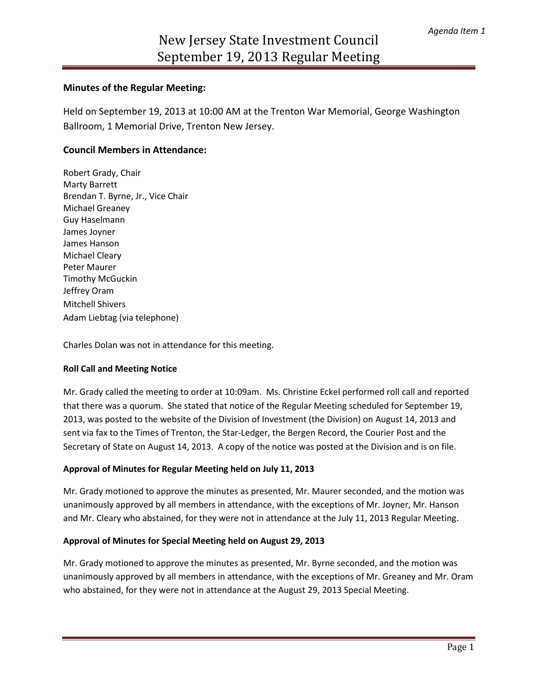# **Minutes of the Regular Meeting:**

Held on September 19, 2013 at 10:00 AM at the Trenton War Memorial, George Washington Ballroom, 1 Memorial Drive, Trenton New Jersey.

# **Council Members in Attendance:**

Robert Grady, Chair Marty Barrett Brendan T. Byrne, Jr., Vice Chair Michael Greaney Guy Haselmann James Joyner James Hanson Michael Cleary Peter Maurer Timothy McGuckin Jeffrey Oram Mitchell Shivers Adam Liebtag (via telephone)

Charles Dolan was not in attendance for this meeting.

### **Roll Call and Meeting Notice**

Mr. Grady called the meeting to order at 10:09am. Ms. Christine Eckel performed roll call and reported that there was a quorum. She stated that notice of the Regular Meeting scheduled for September 19, 2013, was posted to the website of the Division of Investment (the Division) on August 14, 2013 and sent via fax to the Times of Trenton, the Star-Ledger, the Bergen Record, the Courier Post and the Secretary of State on August 14, 2013. A copy of the notice was posted at the Division and is on file.

### **Approval of Minutes for Regular Meeting held on July 11, 2013**

Mr. Grady motioned to approve the minutes as presented, Mr. Maurer seconded, and the motion was unanimously approved by all members in attendance, with the exceptions of Mr. Joyner, Mr. Hanson and Mr. Cleary who abstained, for they were not in attendance at the July 11, 2013 Regular Meeting.

### **Approval of Minutes for Special Meeting held on August 29, 2013**

Mr. Grady motioned to approve the minutes as presented, Mr. Byrne seconded, and the motion was unanimously approved by all members in attendance, with the exceptions of Mr. Greaney and Mr. Oram who abstained, for they were not in attendance at the August 29, 2013 Special Meeting.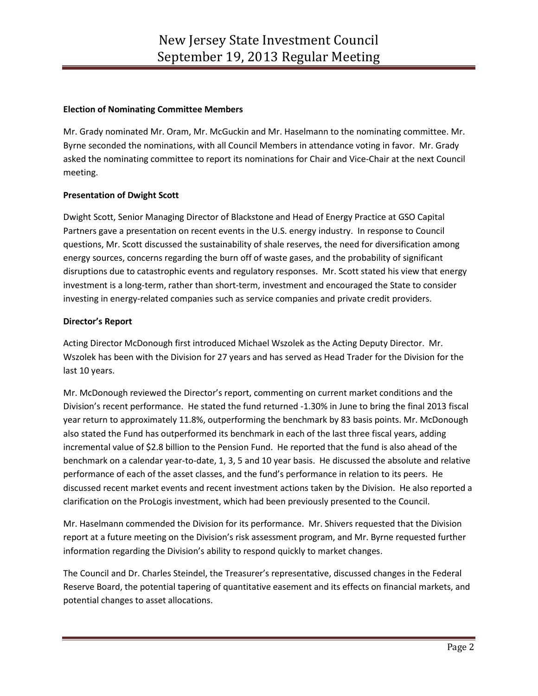### **Election of Nominating Committee Members**

Mr. Grady nominated Mr. Oram, Mr. McGuckin and Mr. Haselmann to the nominating committee. Mr. Byrne seconded the nominations, with all Council Members in attendance voting in favor. Mr. Grady asked the nominating committee to report its nominations for Chair and Vice-Chair at the next Council meeting.

### **Presentation of Dwight Scott**

Dwight Scott, Senior Managing Director of Blackstone and Head of Energy Practice at GSO Capital Partners gave a presentation on recent events in the U.S. energy industry. In response to Council questions, Mr. Scott discussed the sustainability of shale reserves, the need for diversification among energy sources, concerns regarding the burn off of waste gases, and the probability of significant disruptions due to catastrophic events and regulatory responses. Mr. Scott stated his view that energy investment is a long-term, rather than short-term, investment and encouraged the State to consider investing in energy-related companies such as service companies and private credit providers.

### **Director's Report**

Acting Director McDonough first introduced Michael Wszolek as the Acting Deputy Director. Mr. Wszolek has been with the Division for 27 years and has served as Head Trader for the Division for the last 10 years.

Mr. McDonough reviewed the Director's report, commenting on current market conditions and the Division's recent performance. He stated the fund returned -1.30% in June to bring the final 2013 fiscal year return to approximately 11.8%, outperforming the benchmark by 83 basis points. Mr. McDonough also stated the Fund has outperformed its benchmark in each of the last three fiscal years, adding incremental value of \$2.8 billion to the Pension Fund. He reported that the fund is also ahead of the benchmark on a calendar year-to-date, 1, 3, 5 and 10 year basis. He discussed the absolute and relative performance of each of the asset classes, and the fund's performance in relation to its peers. He discussed recent market events and recent investment actions taken by the Division. He also reported a clarification on the ProLogis investment, which had been previously presented to the Council.

Mr. Haselmann commended the Division for its performance. Mr. Shivers requested that the Division report at a future meeting on the Division's risk assessment program, and Mr. Byrne requested further information regarding the Division's ability to respond quickly to market changes.

The Council and Dr. Charles Steindel, the Treasurer's representative, discussed changes in the Federal Reserve Board, the potential tapering of quantitative easement and its effects on financial markets, and potential changes to asset allocations.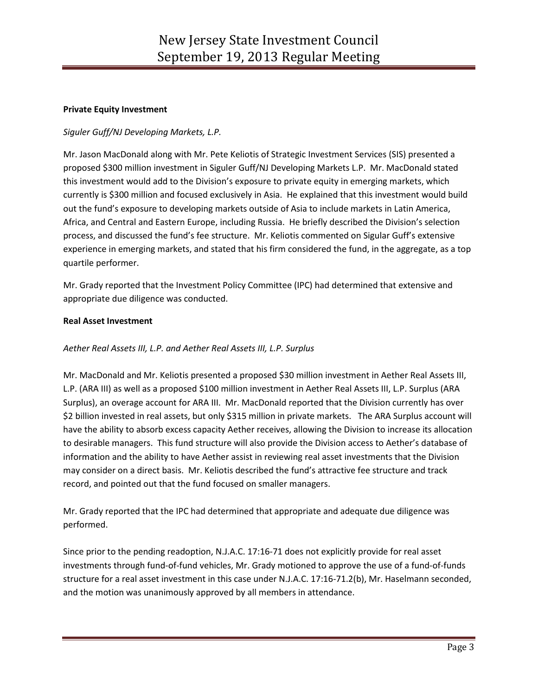### **Private Equity Investment**

# *Siguler Guff/NJ Developing Markets, L.P.*

Mr. Jason MacDonald along with Mr. Pete Keliotis of Strategic Investment Services (SIS) presented a proposed \$300 million investment in Siguler Guff/NJ Developing Markets L.P. Mr. MacDonald stated this investment would add to the Division's exposure to private equity in emerging markets, which currently is \$300 million and focused exclusively in Asia. He explained that this investment would build out the fund's exposure to developing markets outside of Asia to include markets in Latin America, Africa, and Central and Eastern Europe, including Russia. He briefly described the Division's selection process, and discussed the fund's fee structure. Mr. Keliotis commented on Sigular Guff's extensive experience in emerging markets, and stated that his firm considered the fund, in the aggregate, as a top quartile performer.

Mr. Grady reported that the Investment Policy Committee (IPC) had determined that extensive and appropriate due diligence was conducted.

### **Real Asset Investment**

# *Aether Real Assets III, L.P. and Aether Real Assets III, L.P. Surplus*

Mr. MacDonald and Mr. Keliotis presented a proposed \$30 million investment in Aether Real Assets III, L.P. (ARA III) as well as a proposed \$100 million investment in Aether Real Assets III, L.P. Surplus (ARA Surplus), an overage account for ARA III. Mr. MacDonald reported that the Division currently has over \$2 billion invested in real assets, but only \$315 million in private markets. The ARA Surplus account will have the ability to absorb excess capacity Aether receives, allowing the Division to increase its allocation to desirable managers. This fund structure will also provide the Division access to Aether's database of information and the ability to have Aether assist in reviewing real asset investments that the Division may consider on a direct basis. Mr. Keliotis described the fund's attractive fee structure and track record, and pointed out that the fund focused on smaller managers.

Mr. Grady reported that the IPC had determined that appropriate and adequate due diligence was performed.

Since prior to the pending readoption, N.J.A.C. 17:16-71 does not explicitly provide for real asset investments through fund-of-fund vehicles, Mr. Grady motioned to approve the use of a fund-of-funds structure for a real asset investment in this case under N.J.A.C. 17:16-71.2(b), Mr. Haselmann seconded, and the motion was unanimously approved by all members in attendance.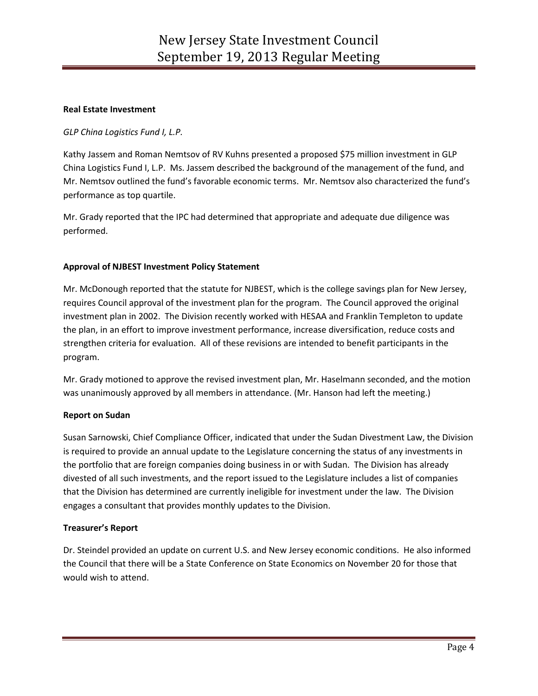### **Real Estate Investment**

# *GLP China Logistics Fund I, L.P.*

Kathy Jassem and Roman Nemtsov of RV Kuhns presented a proposed \$75 million investment in GLP China Logistics Fund I, L.P. Ms. Jassem described the background of the management of the fund, and Mr. Nemtsov outlined the fund's favorable economic terms. Mr. Nemtsov also characterized the fund's performance as top quartile.

Mr. Grady reported that the IPC had determined that appropriate and adequate due diligence was performed.

### **Approval of NJBEST Investment Policy Statement**

Mr. McDonough reported that the statute for NJBEST, which is the college savings plan for New Jersey, requires Council approval of the investment plan for the program. The Council approved the original investment plan in 2002. The Division recently worked with HESAA and Franklin Templeton to update the plan, in an effort to improve investment performance, increase diversification, reduce costs and strengthen criteria for evaluation. All of these revisions are intended to benefit participants in the program.

Mr. Grady motioned to approve the revised investment plan, Mr. Haselmann seconded, and the motion was unanimously approved by all members in attendance. (Mr. Hanson had left the meeting.)

### **Report on Sudan**

Susan Sarnowski, Chief Compliance Officer, indicated that under the Sudan Divestment Law, the Division is required to provide an annual update to the Legislature concerning the status of any investments in the portfolio that are foreign companies doing business in or with Sudan. The Division has already divested of all such investments, and the report issued to the Legislature includes a list of companies that the Division has determined are currently ineligible for investment under the law. The Division engages a consultant that provides monthly updates to the Division.

### **Treasurer's Report**

Dr. Steindel provided an update on current U.S. and New Jersey economic conditions. He also informed the Council that there will be a State Conference on State Economics on November 20 for those that would wish to attend.